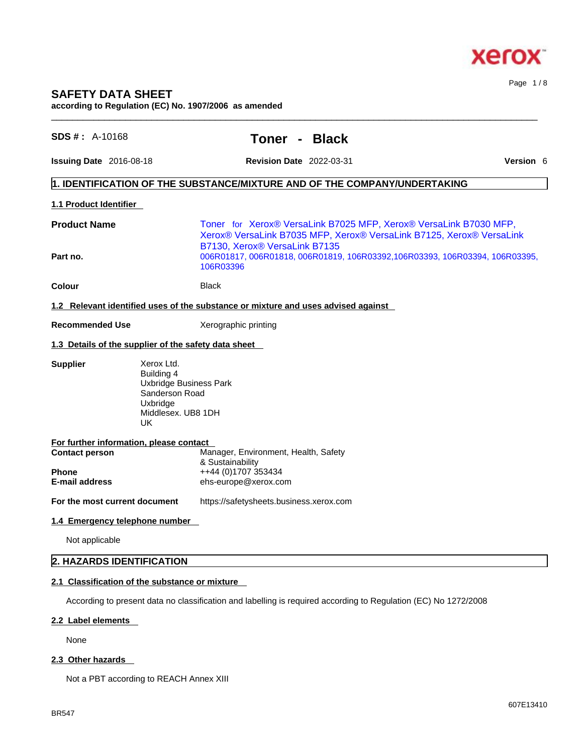

Page 1 / 8

# **SAFETY DATA SHEET**

**according to Regulation (EC) No. 1907/2006 as amended**  $\_$  ,  $\_$  ,  $\_$  ,  $\_$  ,  $\_$  ,  $\_$  ,  $\_$  ,  $\_$  ,  $\_$  ,  $\_$  ,  $\_$  ,  $\_$  ,  $\_$  ,  $\_$  ,  $\_$  ,  $\_$  ,  $\_$  ,  $\_$  ,  $\_$  ,  $\_$  ,  $\_$  ,  $\_$  ,  $\_$  ,  $\_$  ,  $\_$  ,  $\_$  ,  $\_$  ,  $\_$  ,  $\_$  ,  $\_$  ,  $\_$  ,  $\_$  ,  $\_$  ,  $\_$  ,  $\_$  ,  $\_$  ,  $\_$  ,

| $SDS #: A-10168$                                               |                                                                                                                     |                                                                                                         | Toner -                                                                                                                                   | <b>Black</b> |                                                                              |  |  |  |
|----------------------------------------------------------------|---------------------------------------------------------------------------------------------------------------------|---------------------------------------------------------------------------------------------------------|-------------------------------------------------------------------------------------------------------------------------------------------|--------------|------------------------------------------------------------------------------|--|--|--|
| Issuing Date 2016-08-18                                        |                                                                                                                     | <b>Revision Date</b> 2022-03-31                                                                         |                                                                                                                                           |              | Version 6                                                                    |  |  |  |
|                                                                |                                                                                                                     | 1. IDENTIFICATION OF THE SUBSTANCE/MIXTURE AND OF THE COMPANY/UNDERTAKING                               |                                                                                                                                           |              |                                                                              |  |  |  |
| 1.1 Product Identifier                                         |                                                                                                                     |                                                                                                         |                                                                                                                                           |              |                                                                              |  |  |  |
| <b>Product Name</b>                                            |                                                                                                                     | B7130, Xerox® VersaLink B7135                                                                           | Toner for Xerox® VersaLink B7025 MFP, Xerox® VersaLink B7030 MFP,<br>Xerox® VersaLink B7035 MFP, Xerox® VersaLink B7125, Xerox® VersaLink |              |                                                                              |  |  |  |
| Part no.                                                       |                                                                                                                     | 106R03396                                                                                               |                                                                                                                                           |              | 006R01817, 006R01818, 006R01819, 106R03392, 106R03393, 106R03394, 106R03395, |  |  |  |
| Colour                                                         |                                                                                                                     | <b>Black</b>                                                                                            |                                                                                                                                           |              |                                                                              |  |  |  |
|                                                                |                                                                                                                     | 1.2 Relevant identified uses of the substance or mixture and uses advised against                       |                                                                                                                                           |              |                                                                              |  |  |  |
| <b>Recommended Use</b>                                         |                                                                                                                     |                                                                                                         | Xerographic printing                                                                                                                      |              |                                                                              |  |  |  |
| 1.3 Details of the supplier of the safety data sheet           |                                                                                                                     |                                                                                                         |                                                                                                                                           |              |                                                                              |  |  |  |
| <b>Supplier</b>                                                | Xerox Ltd.<br>Building 4<br><b>Uxbridge Business Park</b><br>Sanderson Road<br>Uxbridge<br>Middlesex. UB8 1DH<br>UK |                                                                                                         |                                                                                                                                           |              |                                                                              |  |  |  |
| For further information, please contact                        |                                                                                                                     |                                                                                                         |                                                                                                                                           |              |                                                                              |  |  |  |
| <b>Contact person</b><br><b>Phone</b><br><b>E-mail address</b> |                                                                                                                     | Manager, Environment, Health, Safety<br>& Sustainability<br>++44 (0)1707 353434<br>ehs-europe@xerox.com |                                                                                                                                           |              |                                                                              |  |  |  |
| For the most current document                                  |                                                                                                                     | https://safetysheets.business.xerox.com                                                                 |                                                                                                                                           |              |                                                                              |  |  |  |
| 1.4 Emergency telephone number                                 |                                                                                                                     |                                                                                                         |                                                                                                                                           |              |                                                                              |  |  |  |
| Not applicable                                                 |                                                                                                                     |                                                                                                         |                                                                                                                                           |              |                                                                              |  |  |  |
| 2. HAZARDS IDENTIFICATION                                      |                                                                                                                     |                                                                                                         |                                                                                                                                           |              |                                                                              |  |  |  |
| 2.1 Classification of the substance or mixture                 |                                                                                                                     |                                                                                                         |                                                                                                                                           |              |                                                                              |  |  |  |

According to present data no classification and labelling is required according to Regulation (EC) No 1272/2008

# **2.2 Label elements**

None

# **2.3 Other hazards**

Not a PBT according to REACH Annex XIII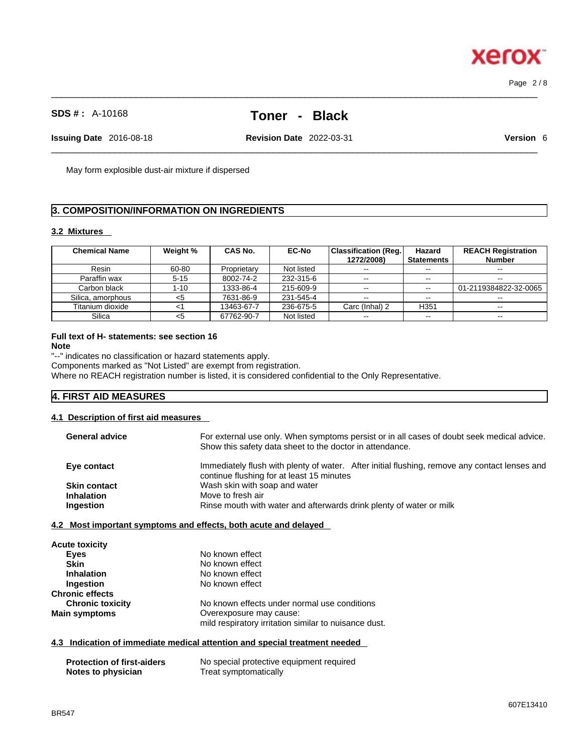# **SDS # :** A-10168 **Toner - Black**

 $\_$  ,  $\_$  ,  $\_$  ,  $\_$  ,  $\_$  ,  $\_$  ,  $\_$  ,  $\_$  ,  $\_$  ,  $\_$  ,  $\_$  ,  $\_$  ,  $\_$  ,  $\_$  ,  $\_$  ,  $\_$  ,  $\_$  ,  $\_$  ,  $\_$  ,  $\_$  ,  $\_$  ,  $\_$  ,  $\_$  ,  $\_$  ,  $\_$  ,  $\_$  ,  $\_$  ,  $\_$  ,  $\_$  ,  $\_$  ,  $\_$  ,  $\_$  ,  $\_$  ,  $\_$  ,  $\_$  ,  $\_$  ,  $\_$  ,

 $\_$  ,  $\_$  ,  $\_$  ,  $\_$  ,  $\_$  ,  $\_$  ,  $\_$  ,  $\_$  ,  $\_$  ,  $\_$  ,  $\_$  ,  $\_$  ,  $\_$  ,  $\_$  ,  $\_$  ,  $\_$  ,  $\_$  ,  $\_$  ,  $\_$  ,  $\_$  ,  $\_$  ,  $\_$  ,  $\_$  ,  $\_$  ,  $\_$  ,  $\_$  ,  $\_$  ,  $\_$  ,  $\_$  ,  $\_$  ,  $\_$  ,  $\_$  ,  $\_$  ,  $\_$  ,  $\_$  ,  $\_$  ,  $\_$  , **Issuing Date** 2016-08-18 **Revision Date** 2022-03-31 **Version** 6

May form explosible dust-air mixture if dispersed

# **3. COMPOSITION/INFORMATION ON INGREDIENTS**

# **3.2 Mixtures**

| <b>Chemical Name</b> | Weight % | <b>CAS No.</b> | <b>EC-No</b> | Classification (Reg.  <br>1272/2008) | Hazard<br><b>Statements</b> | <b>REACH Registration</b><br><b>Number</b> |
|----------------------|----------|----------------|--------------|--------------------------------------|-----------------------------|--------------------------------------------|
| Resin                | 60-80    | Proprietary    | Not listed   | $\sim$ $\sim$                        | $-$                         | $- -$                                      |
| Paraffin wax         | $5 - 15$ | 8002-74-2      | 232-315-6    | $\sim$ $\sim$                        | $- -$                       | $- -$                                      |
| Carbon black         | 1-10     | 1333-86-4      | 215-609-9    | $- -$                                | $\sim$ $\sim$               | 01-2119384822-32-0065                      |
| Silica, amorphous    | <5       | 7631-86-9      | 231-545-4    | $\sim$ $\sim$                        | $- -$                       | $- -$                                      |
| Titanium dioxide     |          | 13463-67-7     | 236-675-5    | Carc (Inhal) 2                       | H <sub>351</sub>            |                                            |
| Silica               | <5       | 67762-90-7     | Not listed   | $\overline{\phantom{a}}$             | $\sim$ $\sim$               | $\sim$ $\sim$                              |

# **Full text of H- statements: see section 16**

**Note**

"--" indicates no classification or hazard statements apply. Components marked as "Not Listed" are exempt from registration.

Where no REACH registration number is listed, it is considered confidential to the Only Representative.

# **4. FIRST AID MEASURES**

#### **4.1 Description of first aid measures**

| <b>General advice</b> | For external use only. When symptoms persist or in all cases of doubt seek medical advice.<br>Show this safety data sheet to the doctor in attendance. |
|-----------------------|--------------------------------------------------------------------------------------------------------------------------------------------------------|
| Eye contact           | Immediately flush with plenty of water. After initial flushing, remove any contact lenses and<br>continue flushing for at least 15 minutes             |
| <b>Skin contact</b>   | Wash skin with soap and water                                                                                                                          |
| <b>Inhalation</b>     | Move to fresh air                                                                                                                                      |
| Ingestion             | Rinse mouth with water and afterwards drink plenty of water or milk                                                                                    |
|                       |                                                                                                                                                        |

# **4.2 Most important symptoms and effects, both acute and delayed**

| <b>Acute toxicity</b>   |                                                       |
|-------------------------|-------------------------------------------------------|
| Eyes                    | No known effect                                       |
| <b>Skin</b>             | No known effect                                       |
| <b>Inhalation</b>       | No known effect                                       |
| Ingestion               | No known effect                                       |
| <b>Chronic effects</b>  |                                                       |
| <b>Chronic toxicity</b> | No known effects under normal use conditions          |
| <b>Main symptoms</b>    | Overexposure may cause:                               |
|                         | mild respiratory irritation similar to nuisance dust. |

# **4.3 Indication of immediate medical attention and special treatment needed**

| <b>Protection of first-aiders</b> | No special protective equipment required |
|-----------------------------------|------------------------------------------|
| Notes to physician                | Treat symptomatically                    |



Page 2 / 8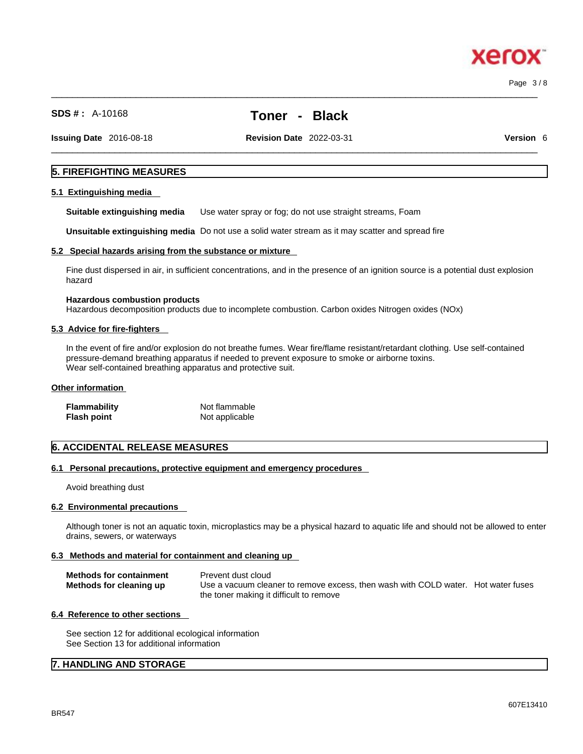$\_$  ,  $\_$  ,  $\_$  ,  $\_$  ,  $\_$  ,  $\_$  ,  $\_$  ,  $\_$  ,  $\_$  ,  $\_$  ,  $\_$  ,  $\_$  ,  $\_$  ,  $\_$  ,  $\_$  ,  $\_$  ,  $\_$  ,  $\_$  ,  $\_$  ,  $\_$  ,  $\_$  ,  $\_$  ,  $\_$  ,  $\_$  ,  $\_$  ,  $\_$  ,  $\_$  ,  $\_$  ,  $\_$  ,  $\_$  ,  $\_$  ,  $\_$  ,  $\_$  ,  $\_$  ,  $\_$  ,  $\_$  ,  $\_$  , Page 3 / 8

xero

**SDS # :** A-10168 **Toner - Black**

**Issuing Date** 2016-08-18 **Revision Date** 2022-03-31 **Version** 6

 $\_$  ,  $\_$  ,  $\_$  ,  $\_$  ,  $\_$  ,  $\_$  ,  $\_$  ,  $\_$  ,  $\_$  ,  $\_$  ,  $\_$  ,  $\_$  ,  $\_$  ,  $\_$  ,  $\_$  ,  $\_$  ,  $\_$  ,  $\_$  ,  $\_$  ,  $\_$  ,  $\_$  ,  $\_$  ,  $\_$  ,  $\_$  ,  $\_$  ,  $\_$  ,  $\_$  ,  $\_$  ,  $\_$  ,  $\_$  ,  $\_$  ,  $\_$  ,  $\_$  ,  $\_$  ,  $\_$  ,  $\_$  ,  $\_$  ,

# **5. FIREFIGHTING MEASURES**

#### **5.1 Extinguishing media**

**Suitable extinguishing media** Use water spray or fog; do not use straight streams, Foam

**Unsuitable extinguishing media** Do not use a solid water stream as it may scatterand spread fire

#### **5.2 Special hazards arising from the substance or mixture**

Fine dust dispersed in air, in sufficient concentrations, and in the presence of an ignition source is a potential dust explosion hazard

#### **Hazardous combustion products**

Hazardous decomposition products due to incomplete combustion. Carbon oxides Nitrogen oxides (NOx)

#### **5.3 Advice for fire-fighters**

In the event of fire and/or explosion do not breathe fumes. Wear fire/flame resistant/retardant clothing. Use self-contained pressure-demand breathing apparatus if needed to prevent exposure to smoke or airborne toxins. Wear self-contained breathing apparatus and protective suit.

# **Other information**

| <b>Flammability</b> | Not flammable  |
|---------------------|----------------|
| Flash point         | Not applicable |

#### **6. ACCIDENTAL RELEASE MEASURES**

#### **6.1 Personal precautions, protective equipment and emergency procedures**

Avoid breathing dust

#### **6.2 Environmental precautions**

Although toner is not an aquatic toxin, microplastics may be a physical hazard to aquatic life and should not be allowed to enter drains, sewers, or waterways

#### **6.3 Methods and material for containment and cleaning up**

| <b>Methods for containment</b> | Prevent dust cloud                                                                |
|--------------------------------|-----------------------------------------------------------------------------------|
| Methods for cleaning up        | Use a vacuum cleaner to remove excess, then wash with COLD water. Hot water fuses |
|                                | the toner making it difficult to remove                                           |

#### **6.4 Reference to other sections**

See section 12 for additional ecological information See Section 13 for additional information

# **7. HANDLING AND STORAGE**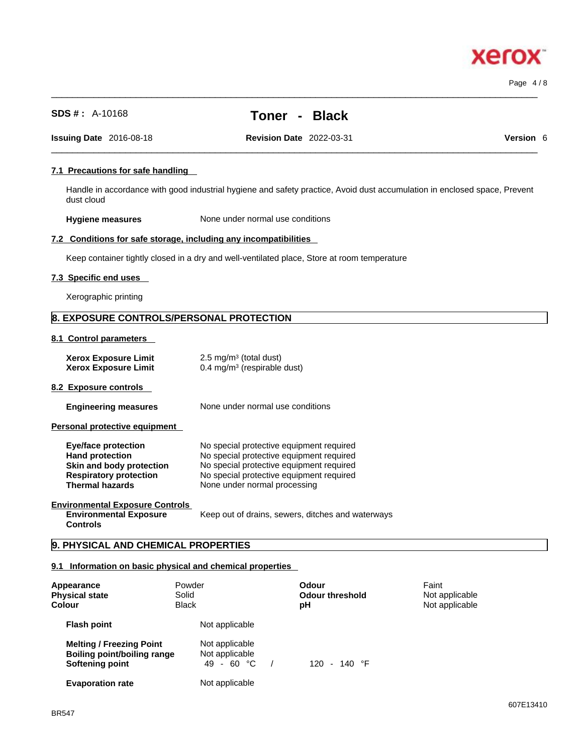**Xerox** 

| 7.1 Precautions for safe handling                                                                                                           |                                                                               |                                                                                                                                                                                                              |                                                                                                                           |  |
|---------------------------------------------------------------------------------------------------------------------------------------------|-------------------------------------------------------------------------------|--------------------------------------------------------------------------------------------------------------------------------------------------------------------------------------------------------------|---------------------------------------------------------------------------------------------------------------------------|--|
| dust cloud                                                                                                                                  |                                                                               |                                                                                                                                                                                                              | Handle in accordance with good industrial hygiene and safety practice, Avoid dust accumulation in enclosed space, Prevent |  |
| <b>Hygiene measures</b>                                                                                                                     |                                                                               | None under normal use conditions                                                                                                                                                                             |                                                                                                                           |  |
| 7.2 Conditions for safe storage, including any incompatibilities                                                                            |                                                                               |                                                                                                                                                                                                              |                                                                                                                           |  |
|                                                                                                                                             |                                                                               | Keep container tightly closed in a dry and well-ventilated place, Store at room temperature                                                                                                                  |                                                                                                                           |  |
| 7.3 Specific end uses                                                                                                                       |                                                                               |                                                                                                                                                                                                              |                                                                                                                           |  |
| Xerographic printing                                                                                                                        |                                                                               |                                                                                                                                                                                                              |                                                                                                                           |  |
| 8. EXPOSURE CONTROLS/PERSONAL PROTECTION                                                                                                    |                                                                               |                                                                                                                                                                                                              |                                                                                                                           |  |
| 8.1 Control parameters                                                                                                                      |                                                                               |                                                                                                                                                                                                              |                                                                                                                           |  |
| <b>Xerox Exposure Limit</b><br><b>Xerox Exposure Limit</b>                                                                                  | 2.5 mg/m <sup>3</sup> (total dust)<br>0.4 mg/m <sup>3</sup> (respirable dust) |                                                                                                                                                                                                              |                                                                                                                           |  |
| 8.2 Exposure controls                                                                                                                       |                                                                               |                                                                                                                                                                                                              |                                                                                                                           |  |
| <b>Engineering measures</b>                                                                                                                 |                                                                               | None under normal use conditions                                                                                                                                                                             |                                                                                                                           |  |
| Personal protective equipment                                                                                                               |                                                                               |                                                                                                                                                                                                              |                                                                                                                           |  |
| <b>Eye/face protection</b><br><b>Hand protection</b><br>Skin and body protection<br><b>Respiratory protection</b><br><b>Thermal hazards</b> |                                                                               | No special protective equipment required<br>No special protective equipment required<br>No special protective equipment required<br>No special protective equipment required<br>None under normal processing |                                                                                                                           |  |
| <b>Environmental Exposure Controls</b><br><b>Environmental Exposure</b><br><b>Controls</b>                                                  |                                                                               | Keep out of drains, sewers, ditches and waterways                                                                                                                                                            |                                                                                                                           |  |
| 9. PHYSICAL AND CHEMICAL PROPERTIES                                                                                                         |                                                                               |                                                                                                                                                                                                              |                                                                                                                           |  |
| 9.1 Information on basic physical and chemical properties                                                                                   |                                                                               |                                                                                                                                                                                                              |                                                                                                                           |  |
| Appearance<br><b>Physical state</b><br><b>Colour</b>                                                                                        | Powder<br>Solid<br><b>Black</b>                                               | Odour<br><b>Odour threshold</b><br>рH                                                                                                                                                                        | Faint<br>Not applicable<br>Not applicable                                                                                 |  |
| <b>Flash point</b>                                                                                                                          | Not applicable                                                                |                                                                                                                                                                                                              |                                                                                                                           |  |
| <b>Melting / Freezing Point</b><br><b>Boiling point/boiling range</b><br><b>Softening point</b>                                             | Not applicable<br>Not applicable<br>49 - 60 °C                                | 120 - 140 °F<br>$\sqrt{2}$                                                                                                                                                                                   |                                                                                                                           |  |

**SDS # :** A-10168 **Toner - Black**

 $\_$  ,  $\_$  ,  $\_$  ,  $\_$  ,  $\_$  ,  $\_$  ,  $\_$  ,  $\_$  ,  $\_$  ,  $\_$  ,  $\_$  ,  $\_$  ,  $\_$  ,  $\_$  ,  $\_$  ,  $\_$  ,  $\_$  ,  $\_$  ,  $\_$  ,  $\_$  ,  $\_$  ,  $\_$  ,  $\_$  ,  $\_$  ,  $\_$  ,  $\_$  ,  $\_$  ,  $\_$  ,  $\_$  ,  $\_$  ,  $\_$  ,  $\_$  ,  $\_$  ,  $\_$  ,  $\_$  ,  $\_$  ,  $\_$  ,

 $\_$  ,  $\_$  ,  $\_$  ,  $\_$  ,  $\_$  ,  $\_$  ,  $\_$  ,  $\_$  ,  $\_$  ,  $\_$  ,  $\_$  ,  $\_$  ,  $\_$  ,  $\_$  ,  $\_$  ,  $\_$  ,  $\_$  ,  $\_$  ,  $\_$  ,  $\_$  ,  $\_$  ,  $\_$  ,  $\_$  ,  $\_$  ,  $\_$  ,  $\_$  ,  $\_$  ,  $\_$  ,  $\_$  ,  $\_$  ,  $\_$  ,  $\_$  ,  $\_$  ,  $\_$  ,  $\_$  ,  $\_$  ,  $\_$  , **Issuing Date** 2016-08-18 **Revision Date** 2022-03-31 **Version** 6

**Evaporation rate** Not applicable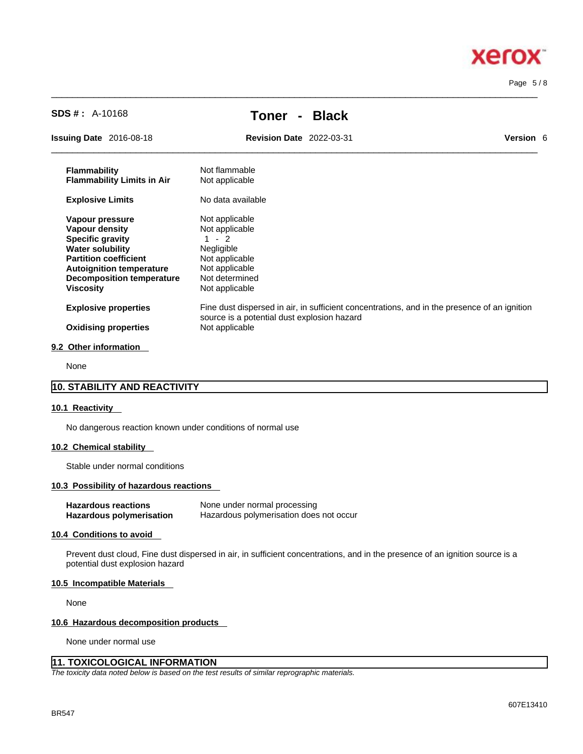#### Page 5 / 8

| <b>Issuing Date</b> 2016-08-18    | <b>Revision Date</b> 2022-03-31             | <b>Version 6</b>                                                                             |
|-----------------------------------|---------------------------------------------|----------------------------------------------------------------------------------------------|
| <b>Flammability</b>               | Not flammable                               |                                                                                              |
| <b>Flammability Limits in Air</b> | Not applicable                              |                                                                                              |
| <b>Explosive Limits</b>           | No data available                           |                                                                                              |
| Vapour pressure                   | Not applicable                              |                                                                                              |
| <b>Vapour density</b>             | Not applicable                              |                                                                                              |
| <b>Specific gravity</b>           | $1 - 2$                                     |                                                                                              |
| <b>Water solubility</b>           | Negligible                                  |                                                                                              |
| <b>Partition coefficient</b>      | Not applicable                              |                                                                                              |
| <b>Autoignition temperature</b>   | Not applicable                              |                                                                                              |
| <b>Decomposition temperature</b>  | Not determined                              |                                                                                              |
| <b>Viscosity</b>                  | Not applicable                              |                                                                                              |
| <b>Explosive properties</b>       |                                             | Fine dust dispersed in air, in sufficient concentrations, and in the presence of an ignition |
|                                   | source is a potential dust explosion hazard |                                                                                              |
| <b>Oxidising properties</b>       | Not applicable                              |                                                                                              |

 $\_$  ,  $\_$  ,  $\_$  ,  $\_$  ,  $\_$  ,  $\_$  ,  $\_$  ,  $\_$  ,  $\_$  ,  $\_$  ,  $\_$  ,  $\_$  ,  $\_$  ,  $\_$  ,  $\_$  ,  $\_$  ,  $\_$  ,  $\_$  ,  $\_$  ,  $\_$  ,  $\_$  ,  $\_$  ,  $\_$  ,  $\_$  ,  $\_$  ,  $\_$  ,  $\_$  ,  $\_$  ,  $\_$  ,  $\_$  ,  $\_$  ,  $\_$  ,  $\_$  ,  $\_$  ,  $\_$  ,  $\_$  ,  $\_$  ,

#### **9.2 Other information**

None

# **10. STABILITY AND REACTIVITY**

# **10.1 Reactivity**

No dangerous reaction known under conditions of normal use

**SDS # :** A-10168 **Toner - Black**

#### **10.2 Chemical stability**

Stable under normal conditions

# **10.3 Possibility of hazardous reactions**

| <b>Hazardous reactions</b> | None under normal processing            |
|----------------------------|-----------------------------------------|
| Hazardous polymerisation   | Hazardous polymerisation does not occur |

# **10.4 Conditions to avoid**

Prevent dust cloud, Fine dust dispersed in air, in sufficient concentrations, and in the presence of an ignition source is a potential dust explosion hazard

#### **10.5 Incompatible Materials**

None

#### **10.6 Hazardous decomposition products**

None under normal use

# **11. TOXICOLOGICAL INFORMATION**

*The toxicity data noted below is based on the test results of similar reprographic materials.* 

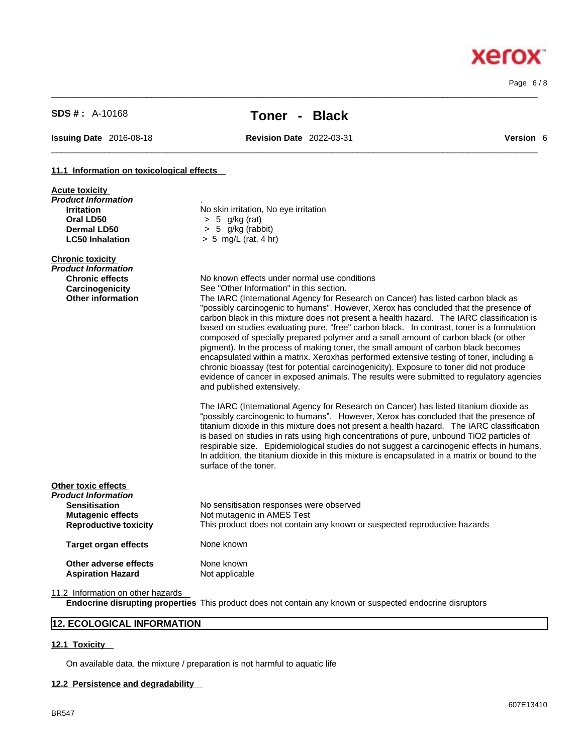Page 6 / 8

**Xerox** 

**Acute toxicity**

# **SDS # :** A-10168 **Toner - Black**

 $\_$  ,  $\_$  ,  $\_$  ,  $\_$  ,  $\_$  ,  $\_$  ,  $\_$  ,  $\_$  ,  $\_$  ,  $\_$  ,  $\_$  ,  $\_$  ,  $\_$  ,  $\_$  ,  $\_$  ,  $\_$  ,  $\_$  ,  $\_$  ,  $\_$  ,  $\_$  ,  $\_$  ,  $\_$  ,  $\_$  ,  $\_$  ,  $\_$  ,  $\_$  ,  $\_$  ,  $\_$  ,  $\_$  ,  $\_$  ,  $\_$  ,  $\_$  ,  $\_$  ,  $\_$  ,  $\_$  ,  $\_$  ,  $\_$  ,

**Issuing Date** 2016-08-18 **Revision Date** 2022-03-31 **Version** 6

 $\_$  ,  $\_$  ,  $\_$  ,  $\_$  ,  $\_$  ,  $\_$  ,  $\_$  ,  $\_$  ,  $\_$  ,  $\_$  ,  $\_$  ,  $\_$  ,  $\_$  ,  $\_$  ,  $\_$  ,  $\_$  ,  $\_$  ,  $\_$  ,  $\_$  ,  $\_$  ,  $\_$  ,  $\_$  ,  $\_$  ,  $\_$  ,  $\_$  ,  $\_$  ,  $\_$  ,  $\_$  ,  $\_$  ,  $\_$  ,  $\_$  ,  $\_$  ,  $\_$  ,  $\_$  ,  $\_$  ,  $\_$  ,  $\_$  ,

#### **11.1 Information on toxicological effects**

| Product Information                                      |                                                                                                                                                                                                                                                                                                                                                                                                                                                                                                                                                                                                                                                                                                                                                                                                                                                                     |
|----------------------------------------------------------|---------------------------------------------------------------------------------------------------------------------------------------------------------------------------------------------------------------------------------------------------------------------------------------------------------------------------------------------------------------------------------------------------------------------------------------------------------------------------------------------------------------------------------------------------------------------------------------------------------------------------------------------------------------------------------------------------------------------------------------------------------------------------------------------------------------------------------------------------------------------|
| <b>Irritation</b>                                        | No skin irritation, No eye irritation                                                                                                                                                                                                                                                                                                                                                                                                                                                                                                                                                                                                                                                                                                                                                                                                                               |
| Oral LD50                                                | $> 5$ g/kg (rat)                                                                                                                                                                                                                                                                                                                                                                                                                                                                                                                                                                                                                                                                                                                                                                                                                                                    |
| <b>Dermal LD50</b>                                       | 5 g/kg (rabbit)<br>>                                                                                                                                                                                                                                                                                                                                                                                                                                                                                                                                                                                                                                                                                                                                                                                                                                                |
| <b>LC50 Inhalation</b>                                   | $> 5$ mg/L (rat, 4 hr)                                                                                                                                                                                                                                                                                                                                                                                                                                                                                                                                                                                                                                                                                                                                                                                                                                              |
| <b>Chronic toxicity</b>                                  |                                                                                                                                                                                                                                                                                                                                                                                                                                                                                                                                                                                                                                                                                                                                                                                                                                                                     |
| <b>Product Information</b>                               |                                                                                                                                                                                                                                                                                                                                                                                                                                                                                                                                                                                                                                                                                                                                                                                                                                                                     |
| <b>Chronic effects</b>                                   | No known effects under normal use conditions                                                                                                                                                                                                                                                                                                                                                                                                                                                                                                                                                                                                                                                                                                                                                                                                                        |
| Carcinogenicity                                          | See "Other Information" in this section.                                                                                                                                                                                                                                                                                                                                                                                                                                                                                                                                                                                                                                                                                                                                                                                                                            |
| <b>Other information</b>                                 | The IARC (International Agency for Research on Cancer) has listed carbon black as<br>"possibly carcinogenic to humans". However, Xerox has concluded that the presence of<br>carbon black in this mixture does not present a health hazard. The IARC classification is<br>based on studies evaluating pure, "free" carbon black. In contrast, toner is a formulation<br>composed of specially prepared polymer and a small amount of carbon black (or other<br>pigment). In the process of making toner, the small amount of carbon black becomes<br>encapsulated within a matrix. Xeroxhas performed extensive testing of toner, including a<br>chronic bioassay (test for potential carcinogenicity). Exposure to toner did not produce<br>evidence of cancer in exposed animals. The results were submitted to regulatory agencies<br>and published extensively. |
|                                                          | The IARC (International Agency for Research on Cancer) has listed titanium dioxide as<br>"possibly carcinogenic to humans". However, Xerox has concluded that the presence of<br>titanium dioxide in this mixture does not present a health hazard. The IARC classification<br>is based on studies in rats using high concentrations of pure, unbound TiO2 particles of<br>respirable size. Epidemiological studies do not suggest a carcinogenic effects in humans.<br>In addition, the titanium dioxide in this mixture is encapsulated in a matrix or bound to the<br>surface of the toner.                                                                                                                                                                                                                                                                      |
| Other toxic effects                                      |                                                                                                                                                                                                                                                                                                                                                                                                                                                                                                                                                                                                                                                                                                                                                                                                                                                                     |
| Product Information                                      |                                                                                                                                                                                                                                                                                                                                                                                                                                                                                                                                                                                                                                                                                                                                                                                                                                                                     |
| <b>Sensitisation</b>                                     | No sensitisation responses were observed                                                                                                                                                                                                                                                                                                                                                                                                                                                                                                                                                                                                                                                                                                                                                                                                                            |
| <b>Mutagenic effects</b><br><b>Reproductive toxicity</b> | Not mutagenic in AMES Test<br>This product does not contain any known or suspected reproductive hazards                                                                                                                                                                                                                                                                                                                                                                                                                                                                                                                                                                                                                                                                                                                                                             |
| <b>Target organ effects</b>                              | None known                                                                                                                                                                                                                                                                                                                                                                                                                                                                                                                                                                                                                                                                                                                                                                                                                                                          |
| Other adverse effects<br><b>Aspiration Hazard</b>        | None known<br>Not applicable                                                                                                                                                                                                                                                                                                                                                                                                                                                                                                                                                                                                                                                                                                                                                                                                                                        |
|                                                          |                                                                                                                                                                                                                                                                                                                                                                                                                                                                                                                                                                                                                                                                                                                                                                                                                                                                     |

11.2 Information on other hazards

**Endocrine disrupting properties** This product does not contain any known or suspected endocrine disruptors

# **12. ECOLOGICAL INFORMATION**

# **12.1 Toxicity**

On available data, the mixture / preparation is not harmful to aquatic life

# **12.2 Persistence and degradability**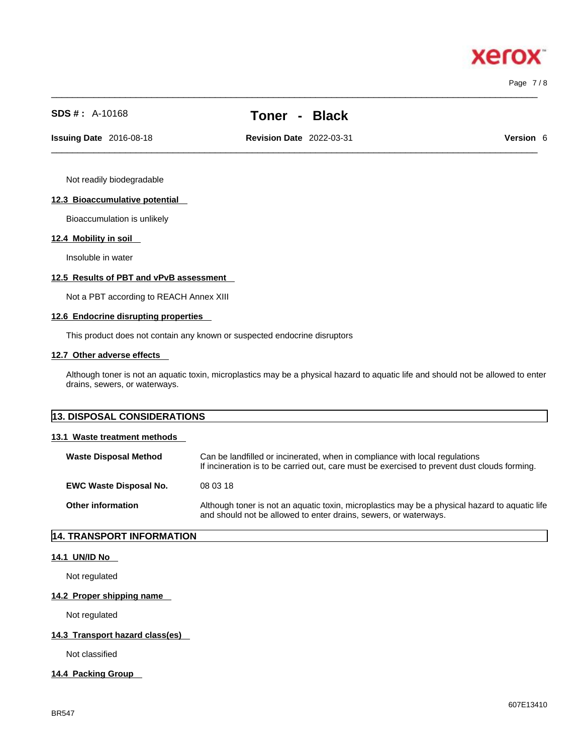$\_$  ,  $\_$  ,  $\_$  ,  $\_$  ,  $\_$  ,  $\_$  ,  $\_$  ,  $\_$  ,  $\_$  ,  $\_$  ,  $\_$  ,  $\_$  ,  $\_$  ,  $\_$  ,  $\_$  ,  $\_$  ,  $\_$  ,  $\_$  ,  $\_$  ,  $\_$  ,  $\_$  ,  $\_$  ,  $\_$  ,  $\_$  ,  $\_$  ,  $\_$  ,  $\_$  ,  $\_$  ,  $\_$  ,  $\_$  ,  $\_$  ,  $\_$  ,  $\_$  ,  $\_$  ,  $\_$  ,  $\_$  ,  $\_$  ,

xero

Page 7 / 8

# **SDS # :** A-10168 **Toner - Black**

 $\_$  ,  $\_$  ,  $\_$  ,  $\_$  ,  $\_$  ,  $\_$  ,  $\_$  ,  $\_$  ,  $\_$  ,  $\_$  ,  $\_$  ,  $\_$  ,  $\_$  ,  $\_$  ,  $\_$  ,  $\_$  ,  $\_$  ,  $\_$  ,  $\_$  ,  $\_$  ,  $\_$  ,  $\_$  ,  $\_$  ,  $\_$  ,  $\_$  ,  $\_$  ,  $\_$  ,  $\_$  ,  $\_$  ,  $\_$  ,  $\_$  ,  $\_$  ,  $\_$  ,  $\_$  ,  $\_$  ,  $\_$  ,  $\_$  , **Issuing Date** 2016-08-18 **Revision Date** 2022-03-31 **Version** 6

Not readily biodegradable

#### **12.3 Bioaccumulative potential**

Bioaccumulation is unlikely

#### **12.4 Mobility in soil**

Insoluble in water

# **12.5 Results of PBT and vPvB assessment**

Not a PBT according to REACH Annex XIII

#### **12.6 Endocrine disrupting properties**

This product does not contain any known or suspected endocrine disruptors

### **12.7 Other adverse effects**

Although toner is not an aquatic toxin, microplastics may be a physical hazard to aquatic life and should not be allowed to enter drains, sewers, or waterways.

| <b>13. DISPOSAL CONSIDERATIONS</b> |                                                                                                                                                                             |
|------------------------------------|-----------------------------------------------------------------------------------------------------------------------------------------------------------------------------|
| 13.1 Waste treatment methods       |                                                                                                                                                                             |
| <b>Waste Disposal Method</b>       | Can be landfilled or incinerated, when in compliance with local regulations<br>If incineration is to be carried out, care must be exercised to prevent dust clouds forming. |
| <b>EWC Waste Disposal No.</b>      | 08 03 18                                                                                                                                                                    |
| <b>Other information</b>           | Although toner is not an aquatic toxin, microplastics may be a physical hazard to aquatic life<br>and should not be allowed to enter drains, sewers, or waterways.          |

# **14. TRANSPORT INFORMATION**

### **14.1 UN/ID No**

Not regulated

# **14.2 Proper shipping name**

Not regulated

# **14.3 Transport hazard class(es)**

Not classified

#### **14.4 Packing Group**